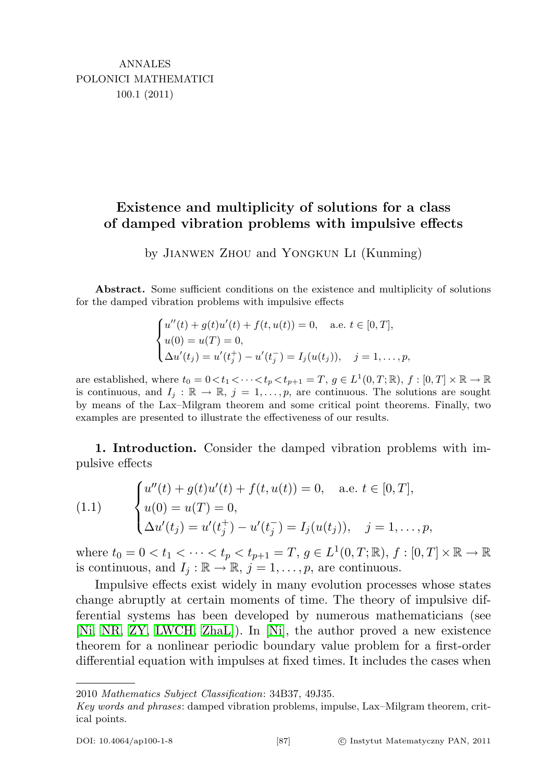## Existence and multiplicity of solutions for a class of damped vibration problems with impulsive effects

by Jianwen Zhou and Yongkun Li (Kunming)

Abstract. Some sufficient conditions on the existence and multiplicity of solutions for the damped vibration problems with impulsive effects

$$
\begin{cases}\nu''(t) + g(t)u'(t) + f(t, u(t)) = 0, & \text{a.e. } t \in [0, T], \\
u(0) = u(T) = 0, \\
\Delta u'(t_j) = u'(t_j^+) - u'(t_j^-) = I_j(u(t_j)), & j = 1, \dots, p,\n\end{cases}
$$

are established, where  $t_0 = 0 < t_1 < \cdots < t_p < t_{p+1} = T$ ,  $g \in L^1(0,T;\mathbb{R})$ ,  $f : [0,T] \times \mathbb{R} \to \mathbb{R}$ is continuous, and  $I_i : \mathbb{R} \to \mathbb{R}$ ,  $j = 1, \ldots, p$ , are continuous. The solutions are sought by means of the Lax–Milgram theorem and some critical point theorems. Finally, two examples are presented to illustrate the effectiveness of our results.

1. Introduction. Consider the damped vibration problems with impulsive effects

(1.1) 
$$
\begin{cases} u''(t) + g(t)u'(t) + f(t, u(t)) = 0, & \text{a.e. } t \in [0, T], \\ u(0) = u(T) = 0, \\ \Delta u'(t_j) = u'(t_j^+) - u'(t_j^-) = I_j(u(t_j)), & j = 1, ..., p, \end{cases}
$$

where  $t_0 = 0 < t_1 < \cdots < t_p < t_{p+1} = T$ ,  $g \in L^1(0,T;\mathbb{R})$ ,  $f : [0,T] \times \mathbb{R} \to \mathbb{R}$ is continuous, and  $I_j : \mathbb{R} \to \mathbb{R}$ ,  $j = 1, \ldots, p$ , are continuous.

Impulsive effects exist widely in many evolution processes whose states change abruptly at certain moments of time. The theory of impulsive differential systems has been developed by numerous mathematicians (see [\[Ni,](#page-11-0) [NR,](#page-11-1) [ZY,](#page-11-2) [LWCH,](#page-11-3) [ZhaL\]](#page-11-4)). In [\[Ni\]](#page-11-0), the author proved a new existence theorem for a nonlinear periodic boundary value problem for a first-order differential equation with impulses at fixed times. It includes the cases when

<sup>2010</sup> Mathematics Subject Classification: 34B37, 49J35.

Key words and phrases: damped vibration problems, impulse, Lax–Milgram theorem, critical points.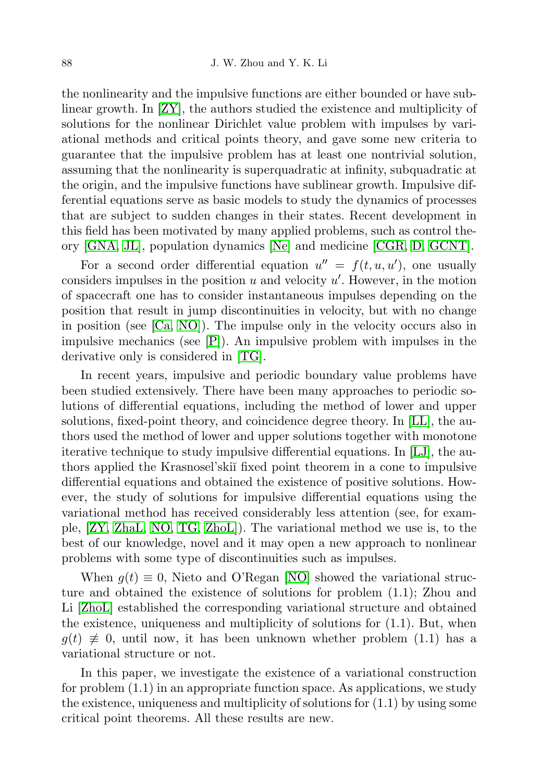the nonlinearity and the impulsive functions are either bounded or have sublinear growth. In [\[ZY\]](#page-11-2), the authors studied the existence and multiplicity of solutions for the nonlinear Dirichlet value problem with impulses by variational methods and critical points theory, and gave some new criteria to guarantee that the impulsive problem has at least one nontrivial solution, assuming that the nonlinearity is superquadratic at infinity, subquadratic at the origin, and the impulsive functions have sublinear growth. Impulsive differential equations serve as basic models to study the dynamics of processes that are subject to sudden changes in their states. Recent development in this field has been motivated by many applied problems, such as control theory [\[GNA,](#page-10-0) [JL\]](#page-10-1), population dynamics [\[Ne\]](#page-11-5) and medicine [\[CGR,](#page-10-2) [D,](#page-10-3) [GCNT\]](#page-10-4).

For a second order differential equation  $u'' = f(t, u, u')$ , one usually considers impulses in the position  $u$  and velocity  $u'$ . However, in the motion of spacecraft one has to consider instantaneous impulses depending on the position that result in jump discontinuities in velocity, but with no change in position (see [\[Ca,](#page-10-5) [NO\]](#page-11-6)). The impulse only in the velocity occurs also in impulsive mechanics (see [\[P\]](#page-11-7)). An impulsive problem with impulses in the derivative only is considered in [\[TG\]](#page-11-8).

In recent years, impulsive and periodic boundary value problems have been studied extensively. There have been many approaches to periodic solutions of differential equations, including the method of lower and upper solutions, fixed-point theory, and coincidence degree theory. In [\[LL\]](#page-10-6), the authors used the method of lower and upper solutions together with monotone iterative technique to study impulsive differential equations. In [\[LJ\]](#page-11-9), the authors applied the Krasnosel'ski˘ı fixed point theorem in a cone to impulsive differential equations and obtained the existence of positive solutions. However, the study of solutions for impulsive differential equations using the variational method has received considerably less attention (see, for example, [\[ZY,](#page-11-2) [ZhaL,](#page-11-4) [NO,](#page-11-6) [TG,](#page-11-8) [ZhoL\]](#page-11-10)). The variational method we use is, to the best of our knowledge, novel and it may open a new approach to nonlinear problems with some type of discontinuities such as impulses.

When  $g(t) \equiv 0$ , Nieto and O'Regan [\[NO\]](#page-11-6) showed the variational structure and obtained the existence of solutions for problem (1.1); Zhou and Li [\[ZhoL\]](#page-11-10) established the corresponding variational structure and obtained the existence, uniqueness and multiplicity of solutions for  $(1.1)$ . But, when  $g(t) \neq 0$ , until now, it has been unknown whether problem (1.1) has a variational structure or not.

In this paper, we investigate the existence of a variational construction for problem (1.1) in an appropriate function space. As applications, we study the existence, uniqueness and multiplicity of solutions for  $(1.1)$  by using some critical point theorems. All these results are new.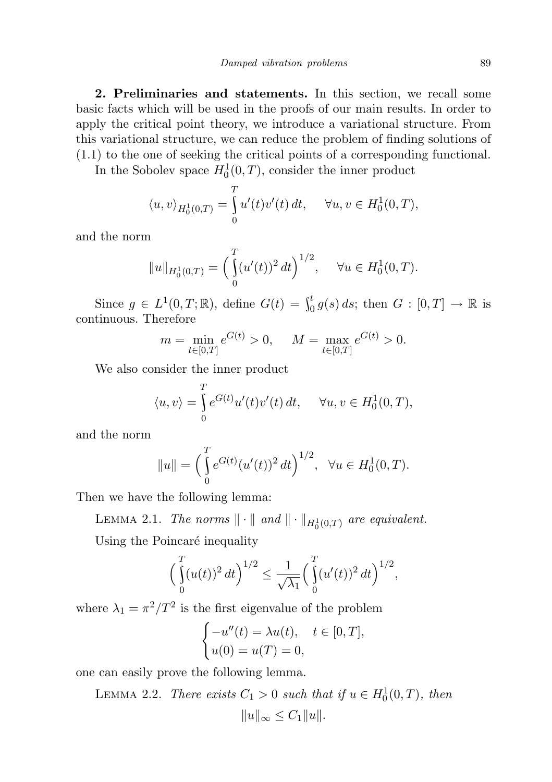2. Preliminaries and statements. In this section, we recall some basic facts which will be used in the proofs of our main results. In order to apply the critical point theory, we introduce a variational structure. From this variational structure, we can reduce the problem of finding solutions of (1.1) to the one of seeking the critical points of a corresponding functional.

In the Sobolev space  $H_0^1(0,T)$ , consider the inner product

$$
\langle u, v \rangle_{H_0^1(0,T)} = \int_0^T u'(t)v'(t) dt, \quad \forall u, v \in H_0^1(0,T),
$$

and the norm

$$
||u||_{H_0^1(0,T)} = \left(\int_0^T (u'(t))^2 dt\right)^{1/2}, \quad \forall u \in H_0^1(0,T).
$$

Since  $g \in L^1(0,T;\mathbb{R})$ , define  $G(t) = \int_0^t g(s) ds$ ; then  $G : [0,T] \to \mathbb{R}$  is continuous. Therefore

$$
m = \min_{t \in [0,T]} e^{G(t)} > 0, \quad M = \max_{t \in [0,T]} e^{G(t)} > 0.
$$

We also consider the inner product

$$
\langle u, v \rangle = \int_{0}^{T} e^{G(t)} u'(t) v'(t) dt, \quad \forall u, v \in H_0^1(0, T),
$$

and the norm

$$
||u|| = \left(\int_{0}^{T} e^{G(t)} (u'(t))^{2} dt\right)^{1/2}, \quad \forall u \in H_{0}^{1}(0, T).
$$

Then we have the following lemma:

LEMMA 2.1. The norms  $\|\cdot\|$  and  $\|\cdot\|_{H_0^1(0,T)}$  are equivalent.

Using the Poincaré inequality

$$
\left(\int_{0}^{T} (u(t))^{2} dt\right)^{1/2} \leq \frac{1}{\sqrt{\lambda_{1}}} \left(\int_{0}^{T} (u'(t))^{2} dt\right)^{1/2},
$$

where  $\lambda_1 = \pi^2/T^2$  is the first eigenvalue of the problem

$$
\begin{cases}\n-u''(t) = \lambda u(t), & t \in [0, T], \\
u(0) = u(T) = 0,\n\end{cases}
$$

one can easily prove the following lemma.

LEMMA 2.2. There exists  $C_1 > 0$  such that if  $u \in H_0^1(0,T)$ , then  $||u||_{\infty} \leq C_1 ||u||.$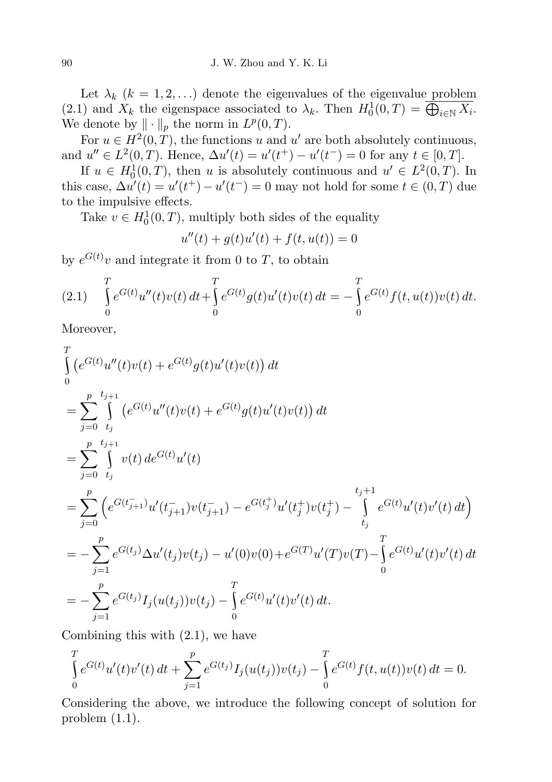Let  $\lambda_k$   $(k = 1, 2, ...)$  denote the eigenvalues of the eigenvalue problem (2.1) and  $X_k$  the eigenspace associated to  $\lambda_k$ . Then  $H_0^1(0,T) = \overline{\bigoplus_{i \in \mathbb{N}} X_i}$ . We denote by  $\|\cdot\|_p$  the norm in  $L^p(0,T)$ .

For  $u \in H^2(0,T)$ , the functions u and u' are both absolutely continuous, and  $u'' \in L^2(0,T)$ . Hence,  $\Delta u'(t) = u'(t^+) - u'(t^-) = 0$  for any  $t \in [0,T]$ .

If  $u \in H_0^1(0,T)$ , then u is absolutely continuous and  $u' \in L^2(0,T)$ . In this case,  $\Delta u'(t) = u'(t^+) - u'(t^-) = 0$  may not hold for some  $t \in (0, T)$  due to the impulsive effects.

Take  $v \in H_0^1(0,T)$ , multiply both sides of the equality

$$
u''(t) + g(t)u'(t) + f(t, u(t)) = 0
$$

by  $e^{G(t)}v$  and integrate it from 0 to T, to obtain

$$
(2.1) \quad \int_{0}^{T} e^{G(t)} u''(t) v(t) dt + \int_{0}^{T} e^{G(t)} g(t) u'(t) v(t) dt = - \int_{0}^{T} e^{G(t)} f(t, u(t)) v(t) dt.
$$

Moreover,

$$
\int_{0}^{T} (e^{G(t)}u''(t)v(t) + e^{G(t)}g(t)u'(t)v(t)) dt
$$
\n  
\n
$$
= \sum_{j=0}^{p} \int_{t_j}^{t_{j+1}} (e^{G(t)}u''(t)v(t) + e^{G(t)}g(t)u'(t)v(t)) dt
$$
\n  
\n
$$
= \sum_{j=0}^{p} \int_{t_j}^{t_{j+1}} v(t) de^{G(t)}u'(t)
$$
\n  
\n
$$
= \sum_{j=0}^{p} \left( e^{G(t_{j+1})}u'(t_{j+1}^{-})v(t_{j+1}^{-}) - e^{G(t_{j}^{+})}u'(t_{j}^{+})v(t_{j}^{+}) - \int_{t_j}^{t_j+1} e^{G(t)}u'(t)v'(t) dt \right)
$$
\n  
\n
$$
= -\sum_{j=1}^{p} e^{G(t_j)} \Delta u'(t_j)v(t_j) - u'(0)v(0) + e^{G(T)}u'(T)v(T) - \int_{0}^{T} e^{G(t)}u'(t)v'(t) dt
$$
\n  
\n
$$
= -\sum_{j=1}^{p} e^{G(t_j)} I_j(u(t_j))v(t_j) - \int_{0}^{T} e^{G(t)}u'(t)v'(t) dt.
$$

Combining this with (2.1), we have

$$
\int_{0}^{T} e^{G(t)} u'(t) v'(t) dt + \sum_{j=1}^{p} e^{G(t_j)} I_j(u(t_j)) v(t_j) - \int_{0}^{T} e^{G(t)} f(t, u(t)) v(t) dt = 0.
$$

Considering the above, we introduce the following concept of solution for problem (1.1).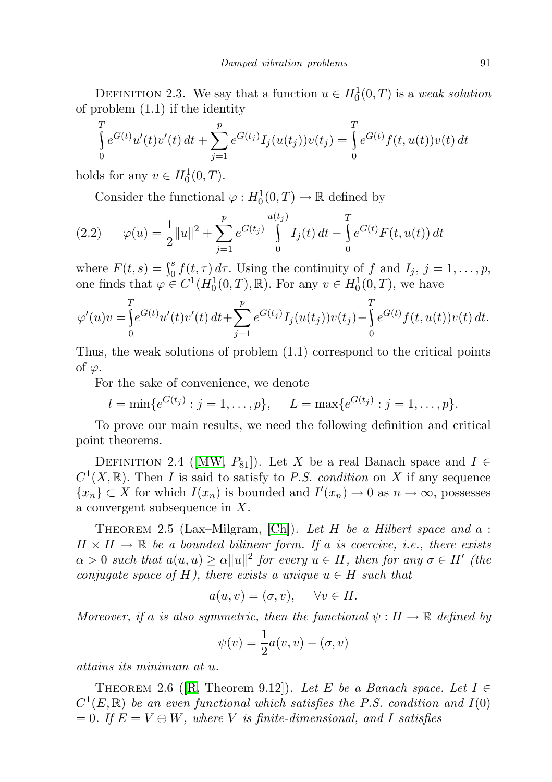DEFINITION 2.3. We say that a function  $u \in H_0^1(0,T)$  is a weak solution of problem (1.1) if the identity

$$
\int_{0}^{T} e^{G(t)} u'(t) v'(t) dt + \sum_{j=1}^{p} e^{G(t_j)} I_j(u(t_j)) v(t_j) = \int_{0}^{T} e^{G(t)} f(t, u(t)) v(t) dt
$$

holds for any  $v \in H_0^1(0,T)$ .

Consider the functional  $\varphi: H_0^1(0,T) \to \mathbb{R}$  defined by

(2.2) 
$$
\varphi(u) = \frac{1}{2} ||u||^2 + \sum_{j=1}^p e^{G(t_j)} \int_0^{u(t_j)} I_j(t) dt - \int_0^T e^{G(t)} F(t, u(t)) dt
$$

where  $F(t, s) = \int_0^s f(t, \tau) d\tau$ . Using the continuity of f and  $I_j$ ,  $j = 1, \ldots, p$ , one finds that  $\varphi \in C^1(H_0^1(0,T), \mathbb{R})$ . For any  $v \in H_0^1(0,T)$ , we have

$$
\varphi'(u)v = \int_0^T e^{G(t)} u'(t) v'(t) dt + \sum_{j=1}^p e^{G(t_j)} I_j(u(t_j)) v(t_j) - \int_0^T e^{G(t)} f(t, u(t)) v(t) dt.
$$

Thus, the weak solutions of problem (1.1) correspond to the critical points of  $\varphi$ .

For the sake of convenience, we denote

$$
l = \min\{e^{G(t_j)} : j = 1, ..., p\}, \quad L = \max\{e^{G(t_j)} : j = 1, ..., p\}.
$$

To prove our main results, we need the following definition and critical point theorems.

DEFINITION 2.4 ([\[MW,](#page-11-11)  $P_{81}$ ]). Let X be a real Banach space and  $I \in$  $C^1(X,\mathbb{R})$ . Then I is said to satisfy to P.S. condition on X if any sequence  $\{x_n\} \subset X$  for which  $I(x_n)$  is bounded and  $I'(x_n) \to 0$  as  $n \to \infty$ , possesses a convergent subsequence in X.

THEOREM 2.5 (Lax–Milgram, [\[Ch\]](#page-10-7)). Let H be a Hilbert space and  $a$ :  $H \times H \to \mathbb{R}$  be a bounded bilinear form. If a is coercive, i.e., there exists  $\alpha > 0$  such that  $a(u, u) \ge \alpha ||u||^2$  for every  $u \in H$ , then for any  $\sigma \in H'$  (the conjugate space of H), there exists a unique  $u \in H$  such that

$$
a(u, v) = (\sigma, v), \quad \forall v \in H.
$$

Moreover, if a is also symmetric, then the functional  $\psi : H \to \mathbb{R}$  defined by

$$
\psi(v) = \frac{1}{2}a(v, v) - (\sigma, v)
$$

attains its minimum at u.

THEOREM 2.6 ([\[R,](#page-11-12) Theorem 9.12]). Let E be a Banach space. Let  $I \in$  $C^1(E,\mathbb{R})$  be an even functional which satisfies the P.S. condition and  $I(0)$  $= 0$ . If  $E = V \oplus W$ , where V is finite-dimensional, and I satisfies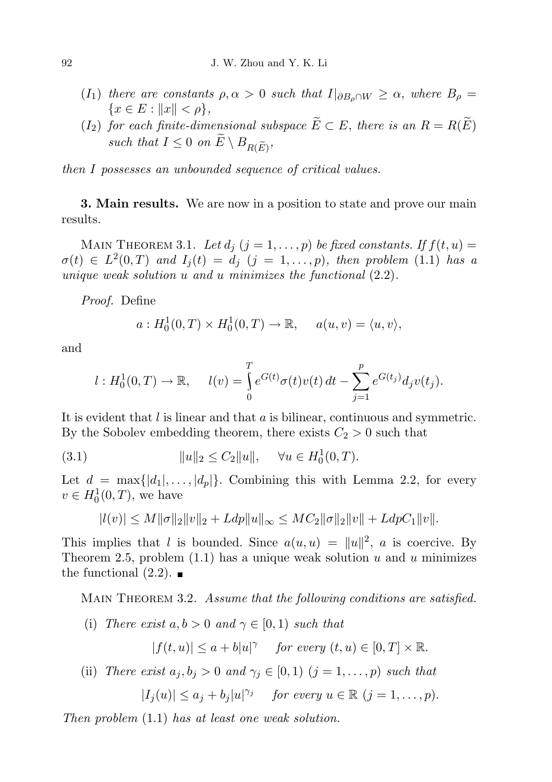- (I<sub>1</sub>) there are constants  $\rho, \alpha > 0$  such that  $I|_{\partial B_{\alpha} \cap W} \geq \alpha$ , where  $B_{\rho} =$  ${x \in E : ||x|| < \rho},$
- (I<sub>2</sub>) for each finite-dimensional subspace  $\widetilde{E} \subset E$ , there is an  $R = R(\widetilde{E})$ such that  $I \leq 0$  on  $E \setminus B_{R(\widetilde{E})}$ ,

then I possesses an unbounded sequence of critical values.

**3. Main results.** We are now in a position to state and prove our main results.

MAIN THEOREM 3.1. Let  $d_i$   $(j = 1, ..., p)$  be fixed constants. If  $f(t, u) =$  $\sigma(t) \in L^2(0,T)$  and  $I_j(t) = d_j$   $(j = 1,\ldots,p)$ , then problem (1.1) has a unique weak solution  $u$  and  $u$  minimizes the functional  $(2.2)$ .

Proof. Define

$$
a: H_0^1(0,T) \times H_0^1(0,T) \to \mathbb{R}, \quad a(u,v) = \langle u, v \rangle,
$$

and

$$
l: H_0^1(0,T) \to \mathbb{R}, \quad l(v) = \int_0^T e^{G(t)} \sigma(t) v(t) dt - \sum_{j=1}^p e^{G(t_j)} d_j v(t_j).
$$

It is evident that  $l$  is linear and that  $a$  is bilinear, continuous and symmetric. By the Sobolev embedding theorem, there exists  $C_2 > 0$  such that

(3.1) 
$$
||u||_2 \le C_2 ||u||, \quad \forall u \in H_0^1(0,T).
$$

Let  $d = \max\{|d_1|, \ldots, |d_p|\}.$  Combining this with Lemma 2.2, for every  $v \in H_0^1(0,T)$ , we have

$$
|l(v)| \le M \|\sigma\|_2 \|v\|_2 + Ldp \|u\|_{\infty} \le M C_2 \|\sigma\|_2 \|v\| + LdpC_1 \|v\|.
$$

This implies that l is bounded. Since  $a(u, u) = ||u||^2$ , a is coercive. By Theorem 2.5, problem  $(1.1)$  has a unique weak solution u and u minimizes the functional  $(2.2)$ .

MAIN THEOREM 3.2. Assume that the following conditions are satisfied.

(i) There exist  $a, b > 0$  and  $\gamma \in [0, 1)$  such that

 $|f(t, u)| \leq a + b|u|^\gamma$  for every  $(t, u) \in [0, T] \times \mathbb{R}$ .

(ii) There exist  $a_j, b_j > 0$  and  $\gamma_j \in [0, 1)$   $(j = 1, \ldots, p)$  such that

$$
|I_j(u)| \le a_j + b_j |u|^{\gamma_j} \quad \text{ for every } u \in \mathbb{R} \ (j = 1, \dots, p).
$$

Then problem (1.1) has at least one weak solution.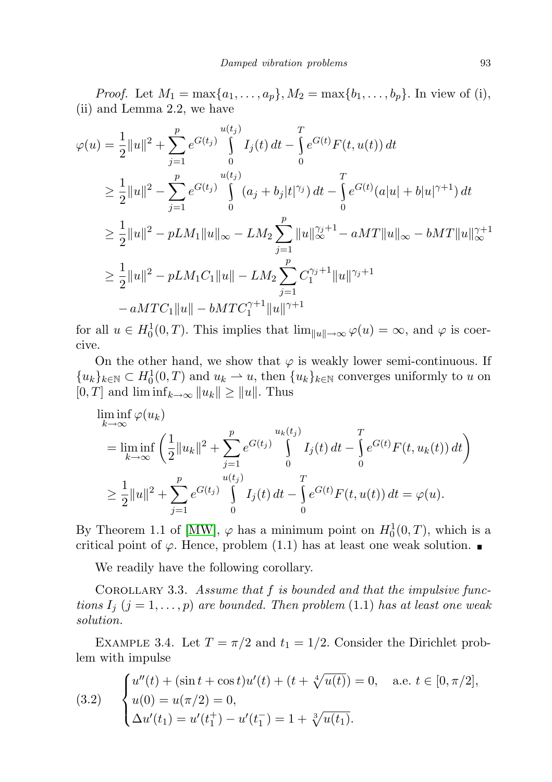*Proof.* Let  $M_1 = \max\{a_1, ..., a_p\}$ ,  $M_2 = \max\{b_1, ..., b_p\}$ . In view of (i), (ii) and Lemma 2.2, we have

$$
\varphi(u) = \frac{1}{2}||u||^2 + \sum_{j=1}^p e^{G(t_j)} \int_0^{u(t_j)} I_j(t) dt - \int_0^T e^{G(t)} F(t, u(t)) dt
$$
  
\n
$$
\geq \frac{1}{2}||u||^2 - \sum_{j=1}^p e^{G(t_j)} \int_0^{u(t_j)} (a_j + b_j|t|^{\gamma_j}) dt - \int_0^T e^{G(t)} (a|u| + b|u|^{\gamma+1}) dt
$$
  
\n
$$
\geq \frac{1}{2}||u||^2 - pLM_1||u||_{\infty} - LM_2 \sum_{j=1}^p ||u||_{\infty}^{\gamma_j+1} - aMT||u||_{\infty} - bMT||u||_{\infty}^{\gamma+1}
$$
  
\n
$$
\geq \frac{1}{2}||u||^2 - pLM_1C_1||u|| - LM_2 \sum_{j=1}^p C_1^{\gamma_j+1} ||u||^{\gamma_j+1}
$$
  
\n
$$
-aMTC_1||u|| - bMTC_1^{\gamma+1}||u||^{\gamma+1}
$$

for all  $u \in H_0^1(0,T)$ . This implies that  $\lim_{\|u\| \to \infty} \varphi(u) = \infty$ , and  $\varphi$  is coercive.

On the other hand, we show that  $\varphi$  is weakly lower semi-continuous. If  ${u_k}_{k\in\mathbb{N}} \subset H_0^1(0,T)$  and  $u_k \rightharpoonup u$ , then  ${u_k}_{k\in\mathbb{N}}$  converges uniformly to u on  $[0, T]$  and  $\liminf_{k \to \infty} ||u_k|| \ge ||u||$ . Thus

$$
\liminf_{k \to \infty} \varphi(u_k)
$$
\n
$$
= \liminf_{k \to \infty} \left( \frac{1}{2} \|u_k\|^2 + \sum_{j=1}^p e^{G(t_j)} \int_0^{u_k(t_j)} I_j(t) dt - \int_0^T e^{G(t)} F(t, u_k(t)) dt \right)
$$
\n
$$
\geq \frac{1}{2} \|u\|^2 + \sum_{j=1}^p e^{G(t_j)} \int_0^{u(t_j)} I_j(t) dt - \int_0^T e^{G(t)} F(t, u(t)) dt = \varphi(u).
$$

By Theorem 1.1 of [\[MW\]](#page-11-11),  $\varphi$  has a minimum point on  $H_0^1(0,T)$ , which is a critical point of  $\varphi$ . Hence, problem (1.1) has at least one weak solution.

We readily have the following corollary.

COROLLARY 3.3. Assume that  $f$  is bounded and that the impulsive functions  $I_j$   $(j = 1, ..., p)$  are bounded. Then problem (1.1) has at least one weak solution.

EXAMPLE 3.4. Let  $T = \pi/2$  and  $t_1 = 1/2$ . Consider the Dirichlet problem with impulse

(3.2) 
$$
\begin{cases} u''(t) + (\sin t + \cos t)u'(t) + (t + \sqrt[4]{u(t)}) = 0, & \text{a.e. } t \in [0, \pi/2], \\ u(0) = u(\pi/2) = 0, \\ \Delta u'(t_1) = u'(t_1^+) - u'(t_1^-) = 1 + \sqrt[3]{u(t_1)}. \end{cases}
$$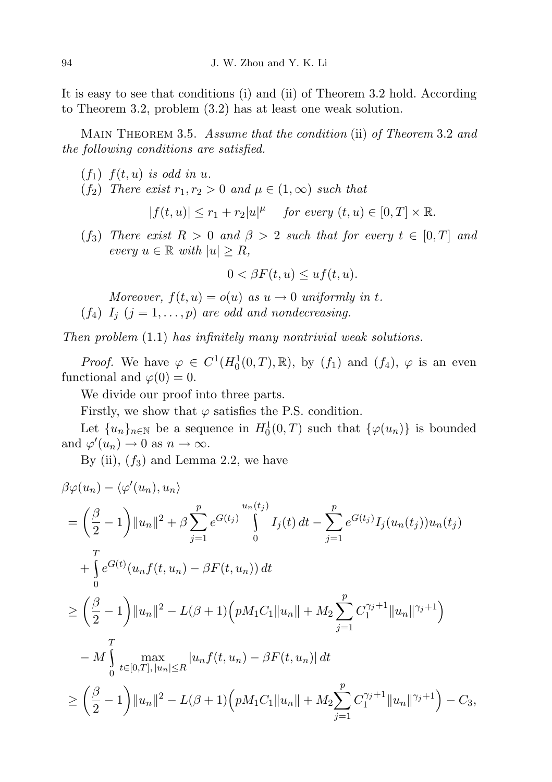It is easy to see that conditions (i) and (ii) of Theorem 3.2 hold. According to Theorem 3.2, problem (3.2) has at least one weak solution.

MAIN THEOREM 3.5. Assume that the condition (ii) of Theorem 3.2 and the following conditions are satisfied.

- $(f_1)$   $f(t, u)$  is odd in u.
- (f<sub>2</sub>) There exist  $r_1, r_2 > 0$  and  $\mu \in (1, \infty)$  such that

$$
|f(t, u)| \le r_1 + r_2|u|^{\mu} \quad \text{ for every } (t, u) \in [0, T] \times \mathbb{R}.
$$

 $(f_3)$  There exist  $R > 0$  and  $\beta > 2$  such that for every  $t \in [0, T]$  and every  $u \in \mathbb{R}$  with  $|u| \geq R$ ,

$$
0 < \beta F(t, u) \leq u f(t, u).
$$

- Moreover,  $f(t, u) = o(u)$  as  $u \to 0$  uniformly in t.  $(f_4)$   $I_j$   $(j = 1, ..., p)$  are odd and nondecreasing.
- 

Then problem (1.1) has infinitely many nontrivial weak solutions.

*Proof.* We have  $\varphi \in C^1(H_0^1(0,T),\mathbb{R})$ , by  $(f_1)$  and  $(f_4)$ ,  $\varphi$  is an even functional and  $\varphi(0) = 0$ .

We divide our proof into three parts.

Firstly, we show that  $\varphi$  satisfies the P.S. condition.

Let  ${u_n}_{n\in\mathbb{N}}$  be a sequence in  $H_0^1(0,T)$  such that  ${\varphi(u_n)}$  is bounded and  $\varphi'(u_n) \to 0$  as  $n \to \infty$ .

By (ii),  $(f_3)$  and Lemma 2.2, we have

$$
\beta \varphi(u_n) - \langle \varphi'(u_n), u_n \rangle
$$
  
=  $\left(\frac{\beta}{2} - 1\right) ||u_n||^2 + \beta \sum_{j=1}^p e^{G(t_j)} \int_0^{u_n(t_j)} I_j(t) dt - \sum_{j=1}^p e^{G(t_j)} I_j(u_n(t_j)) u_n(t_j)$   
+  $\int_0^T e^{G(t)} (u_n f(t, u_n) - \beta F(t, u_n)) dt$   

$$
\geq \left(\frac{\beta}{2} - 1\right) ||u_n||^2 - L(\beta + 1) \left(p M_1 C_1 ||u_n|| + M_2 \sum_{j=1}^p C_1^{\gamma_j + 1} ||u_n||^{\gamma_j + 1}\right)
$$
  
-  $M \int_0^T \max_{t \in [0, T], |u_n| \leq R} |u_n f(t, u_n) - \beta F(t, u_n)| dt$   

$$
\geq \left(\frac{\beta}{2} - 1\right) ||u_n||^2 - L(\beta + 1) \left(p M_1 C_1 ||u_n|| + M_2 \sum_{j=1}^p C_1^{\gamma_j + 1} ||u_n||^{\gamma_j + 1}\right) - C_3,
$$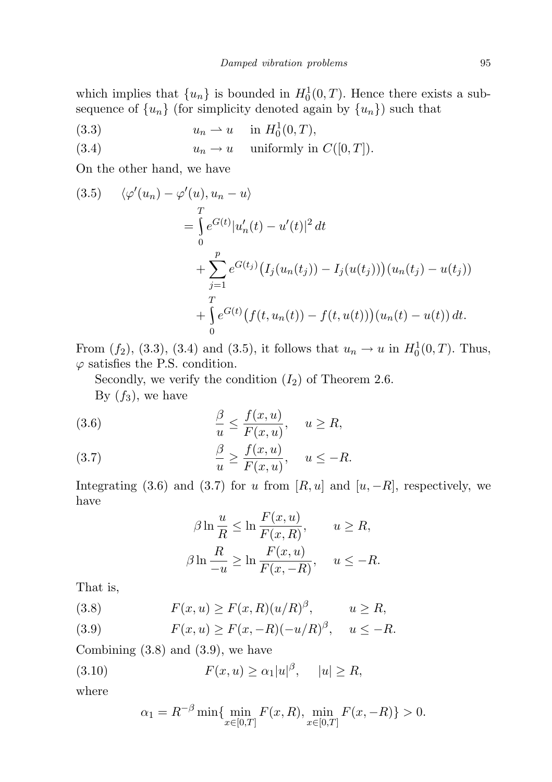which implies that  $\{u_n\}$  is bounded in  $H_0^1(0,T)$ . Hence there exists a subsequence of  $\{u_n\}$  (for simplicity denoted again by  $\{u_n\}$ ) such that

(3.3)  $u_n \rightharpoonup u \quad \text{in } H_0^1(0,T),$ 

(3.4)  $u_n \to u$  uniformly in  $C([0, T]).$ 

On the other hand, we have

(3.5) 
$$
\langle \varphi'(u_n) - \varphi'(u), u_n - u \rangle
$$
  
\n
$$
= \int_0^T e^{G(t)} |u'_n(t) - u'(t)|^2 dt
$$
  
\n
$$
+ \sum_{j=1}^p e^{G(t_j)} (I_j(u_n(t_j)) - I_j(u(t_j)))(u_n(t_j) - u(t_j))
$$
  
\n
$$
+ \int_0^T e^{G(t)} (f(t, u_n(t)) - f(t, u(t)))(u_n(t) - u(t)) dt.
$$

From  $(f_2)$ ,  $(3.3)$ ,  $(3.4)$  and  $(3.5)$ , it follows that  $u_n \to u$  in  $H_0^1(0,T)$ . Thus,  $\varphi$  satisfies the P.S. condition.

Secondly, we verify the condition  $(I_2)$  of Theorem 2.6.

By  $(f_3)$ , we have

(3.6) 
$$
\frac{\beta}{u} \le \frac{f(x, u)}{F(x, u)}, \quad u \ge R,
$$

(3.7) 
$$
\frac{\beta}{u} \ge \frac{f(x, u)}{F(x, u)}, \quad u \le -R.
$$

Integrating (3.6) and (3.7) for u from [R, u] and [u, -R], respectively, we have

$$
\beta \ln \frac{u}{R} \le \ln \frac{F(x, u)}{F(x, R)}, \qquad u \ge R,
$$
  

$$
\beta \ln \frac{R}{-u} \ge \ln \frac{F(x, u)}{F(x, -R)}, \qquad u \le -R.
$$

That is,

(3.8) 
$$
F(x, u) \ge F(x, R)(u/R)^{\beta}, \qquad u \ge R,
$$

(3.9) 
$$
F(x, u) \ge F(x, -R)(-u/R)^{\beta}, \quad u \le -R.
$$

Combining (3.8) and (3.9), we have

(3.10) 
$$
F(x, u) \ge \alpha_1 |u|^\beta, \quad |u| \ge R,
$$

where

$$
\alpha_1 = R^{-\beta} \min \{ \min_{x \in [0,T]} F(x,R), \min_{x \in [0,T]} F(x,-R) \} > 0.
$$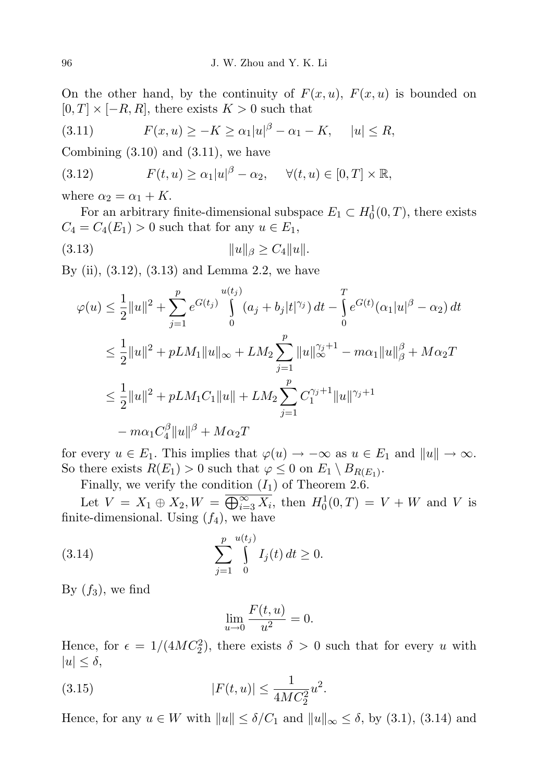On the other hand, by the continuity of  $F(x, u)$ ,  $F(x, u)$  is bounded on  $[0, T] \times [-R, R]$ , there exists  $K > 0$  such that

(3.11) 
$$
F(x, u) \ge -K \ge \alpha_1 |u|^{\beta} - \alpha_1 - K, \quad |u| \le R,
$$

Combining  $(3.10)$  and  $(3.11)$ , we have

(3.12) 
$$
F(t, u) \ge \alpha_1 |u|^{\beta} - \alpha_2, \quad \forall (t, u) \in [0, T] \times \mathbb{R},
$$

where  $\alpha_2 = \alpha_1 + K$ .

For an arbitrary finite-dimensional subspace  $E_1 \subset H_0^1(0,T)$ , there exists  $C_4 = C_4(E_1) > 0$  such that for any  $u \in E_1$ ,

(3.13) kuk<sup>β</sup> ≥ C4kuk.

By (ii),  $(3.12)$ ,  $(3.13)$  and Lemma 2.2, we have

$$
\varphi(u) \leq \frac{1}{2}||u||^2 + \sum_{j=1}^p e^{G(t_j)} \int_0^{u(t_j)} (a_j + b_j|t|^{\gamma_j}) dt - \int_0^T e^{G(t)} (\alpha_1 |u|^{\beta} - \alpha_2) dt
$$
  

$$
\leq \frac{1}{2}||u||^2 + pLM_1||u||_{\infty} + LM_2 \sum_{j=1}^p ||u||_{\infty}^{\gamma_j+1} - m\alpha_1 ||u||_{\beta}^{\beta} + M\alpha_2 T
$$
  

$$
\leq \frac{1}{2}||u||^2 + pLM_1C_1 ||u|| + LM_2 \sum_{j=1}^p C_1^{\gamma_j+1} ||u||^{\gamma_j+1}
$$
  

$$
-m\alpha_1 C_4^{\beta} ||u||^{\beta} + M\alpha_2 T
$$

for every  $u \in E_1$ . This implies that  $\varphi(u) \to -\infty$  as  $u \in E_1$  and  $||u|| \to \infty$ . So there exists  $R(E_1) > 0$  such that  $\varphi \leq 0$  on  $E_1 \setminus B_{R(E_1)}$ .

Finally, we verify the condition  $(I_1)$  of Theorem 2.6.

Let  $V = X_1 \oplus X_2, W = \overline{\bigoplus_{i=3}^{\infty} X_i}$ , then  $H_0^1(0,T) = V + W$  and V is finite-dimensional. Using  $(f_4)$ , we have

(3.14) 
$$
\sum_{j=1}^{p} \int_{0}^{u(t_j)} I_j(t) dt \ge 0.
$$

By  $(f_3)$ , we find

$$
\lim_{u \to 0} \frac{F(t, u)}{u^2} = 0.
$$

Hence, for  $\epsilon = 1/(4MC_2^2)$ , there exists  $\delta > 0$  such that for every u with  $|u| \leq \delta$ ,

(3.15) 
$$
|F(t, u)| \le \frac{1}{4MC_2^2}u^2.
$$

Hence, for any  $u \in W$  with  $||u|| \leq \delta/C_1$  and  $||u||_{\infty} \leq \delta$ , by (3.1), (3.14) and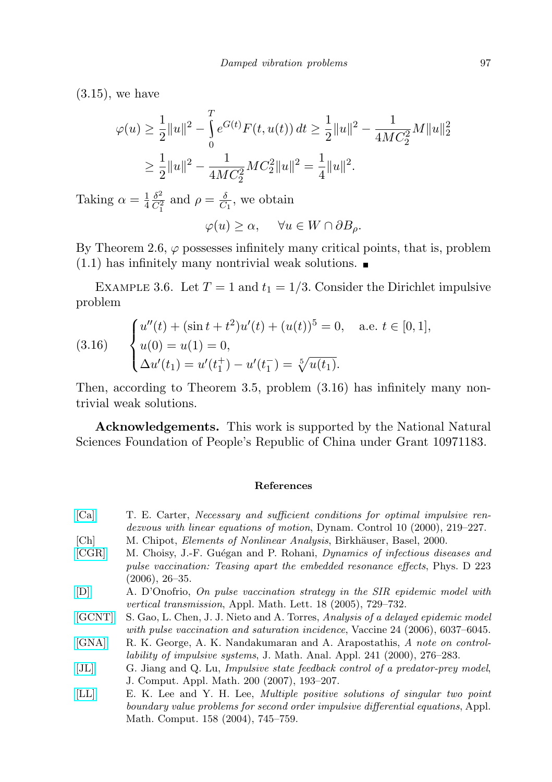$(3.15)$ , we have

$$
\varphi(u) \ge \frac{1}{2} \|u\|^2 - \int_0^T e^{G(t)} F(t, u(t)) dt \ge \frac{1}{2} \|u\|^2 - \frac{1}{4MC_2^2} M \|u\|_2^2
$$
  

$$
\ge \frac{1}{2} \|u\|^2 - \frac{1}{4MC_2^2} MC_2^2 \|u\|^2 = \frac{1}{4} \|u\|^2.
$$

Taking  $\alpha = \frac{1}{4}$ 4  $\delta^2$  $\frac{\delta^2}{C_1^2}$  and  $\rho = \frac{\delta}{C}$  $\frac{\delta}{C_1}$ , we obtain

$$
\varphi(u) \ge \alpha, \quad \forall u \in W \cap \partial B_{\rho}.
$$

By Theorem 2.6,  $\varphi$  possesses infinitely many critical points, that is, problem  $(1.1)$  has infinitely many nontrivial weak solutions.

EXAMPLE 3.6. Let  $T = 1$  and  $t_1 = 1/3$ . Consider the Dirichlet impulsive problem

(3.16) 
$$
\begin{cases} u''(t) + (\sin t + t^2)u'(t) + (u(t))^5 = 0, & \text{a.e. } t \in [0, 1], \\ u(0) = u(1) = 0, \\ \Delta u'(t_1) = u'(t_1^+) - u'(t_1^-) = \sqrt[5]{u(t_1)}. \end{cases}
$$

Then, according to Theorem 3.5, problem (3.16) has infinitely many nontrivial weak solutions.

Acknowledgements. This work is supported by the National Natural Sciences Foundation of People's Republic of China under Grant 10971183.

## References

- <span id="page-10-5"></span>[\[Ca\]](http://dx.doi.org/10.1023/A:1008376427023) T. E. Carter, Necessary and sufficient conditions for optimal impulsive rendezvous with linear equations of motion, Dynam. Control 10 (2000), 219–227.
- <span id="page-10-7"></span>[Ch] M. Chipot, *Elements of Nonlinear Analysis*, Birkhäuser, Basel, 2000.
- <span id="page-10-2"></span>[\[CGR\]](http://dx.doi.org/10.1016/j.physd.2006.08.006) M. Choisy, J.-F. Guégan and P. Rohani, *Dynamics of infectious diseases and* pulse vaccination: Teasing apart the embedded resonance effects, Phys. D 223 (2006), 26–35.
- <span id="page-10-3"></span>[\[D\]](http://dx.doi.org/10.1016/j.aml.2004.05.012) A. D'Onofrio, On pulse vaccination strategy in the SIR epidemic model with vertical transmission, Appl. Math. Lett. 18 (2005), 729–732.
- <span id="page-10-4"></span>[\[GCNT\]](http://dx.doi.org/10.1016/j.vaccine.2006.05.018) S. Gao, L. Chen, J. J. Nieto and A. Torres, Analysis of a delayed epidemic model with pulse vaccination and saturation incidence, Vaccine 24 (2006), 6037–6045.
- <span id="page-10-0"></span>[\[GNA\]](http://dx.doi.org/10.1006/jmaa.1999.6632) R. K. George, A. K. Nandakumaran and A. Arapostathis, A note on controllability of impulsive systems, J. Math. Anal. Appl. 241 (2000), 276–283.
- <span id="page-10-1"></span>[\[JL\]](http://dx.doi.org/10.1016/j.cam.2005.12.013) G. Jiang and Q. Lu, Impulsive state feedback control of a predator-prey model, J. Comput. Appl. Math. 200 (2007), 193–207.
- <span id="page-10-6"></span>[\[LL\]](http://dx.doi.org/10.1016/j.amc.2003.10.013) E. K. Lee and Y. H. Lee, Multiple positive solutions of singular two point boundary value problems for second order impulsive differential equations, Appl. Math. Comput. 158 (2004), 745–759.